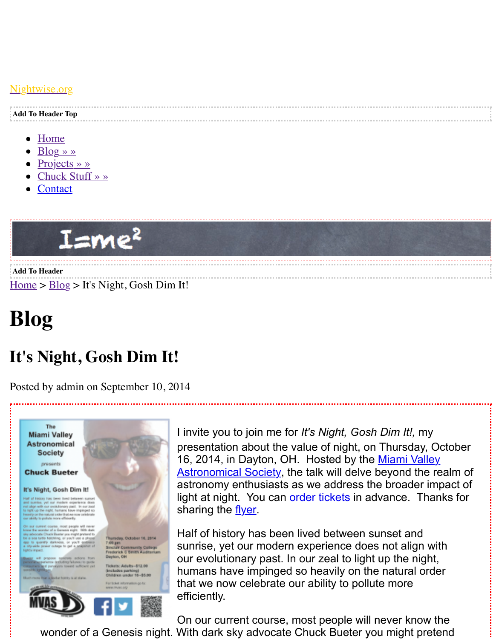<u>ghtwise.org</u>

| <u>.</u>                 |
|--------------------------|
| <b>Add To Header Top</b> |
|                          |

- Home
- Blog » »
- Projects » »
- [Chuck Stuff » »](http://www.nightwise.org/)
- **Contact**



**Add To [Header](http://www.nightwise.org/contact/)**  $Home > Blog > It's Night, Gosh Dim It!$ 

## **Blog**

## **[It](http://www.nightwise.org/)'[s](http://www.nightwise.org/) [Nigh](http://www.nightwise.org/blog/)t, Gosh Dim It!**

Posted by admin on September 10, 2014



I invite you to join me for *It's Night, Gosh Dim It!,* my presentation about the value of night, on Thursday, 16, 2014, in Dayton, OH. Hosted by the Miami Vall Astronomical Society, the talk will delve beyond the astronomy enthusiasts as we address the broader light at night. You can order tickets in advance. Thanks for sharing the flyer.

Half of history has been lived between sunset and sunrise, yet our modern experience does not align our evolutionary past. In our zeal to light up the night humans have impinged so heavily on the natural or that we now celebrate [our ability to](http://www.nightwise.org/files/6414/1032/0560/Ticket-order-form2014.pdf) pollute more efficiently.

On our current course, most people will never know wonder of a Genesis night. With dark sky advocate Chuck Bueter you might pretends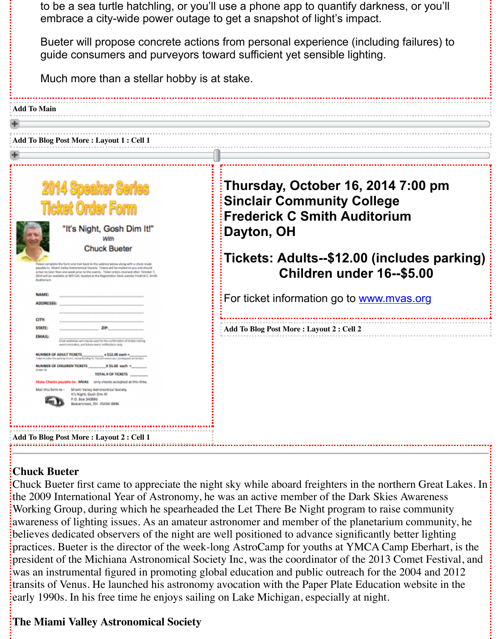| Thursday, October 16, 2014 7:00<br><b>Sinclair Community College</b><br><b>Frederick C Smith Auditorium</b><br>Dayton, OH<br>Tickets: Adults--\$12.00 (includes<br>Children under 16--\$5.0 |
|---------------------------------------------------------------------------------------------------------------------------------------------------------------------------------------------|
|                                                                                                                                                                                             |
| For ticket information go to www.mvas.org                                                                                                                                                   |
|                                                                                                                                                                                             |
| Add To Blog Post More: Layout 2: Cell 2                                                                                                                                                     |
|                                                                                                                                                                                             |
|                                                                                                                                                                                             |
|                                                                                                                                                                                             |
|                                                                                                                                                                                             |

## **Chuck Bueter**

[Chuck Bueter first came to apprec](http://www.nightwise.org/files/6414/1032/0560/Ticket-order-form2014.pdf)iate the night sky while aboard freighters in the northern G the 2009 International Year of Astronomy, he was an active member of the Dark Skies Aware Working Group, during which he spearheaded the Let There Be Night program to raise comr awareness of lighting issues. As an amateur astronomer and member of the planetarium computer believes dedicated observers of the night are well positioned to advance significantly better li practices. Bueter is the director of the week-long AstroCamp for youths at YMCA Camp Ebe president of the Michiana Astronomical Society Inc, was the coordinator of the 2013 Comet was an instrumental figured in promoting global education and public outreach for the 2004 and 2014 transits of Venus. He launched his astronomy avocation with the Paper Plate Education webs early 1990s. In his free time he enjoys sailing on Lake Michigan, especially at night.

## **The Miami Valley Astronomical Society**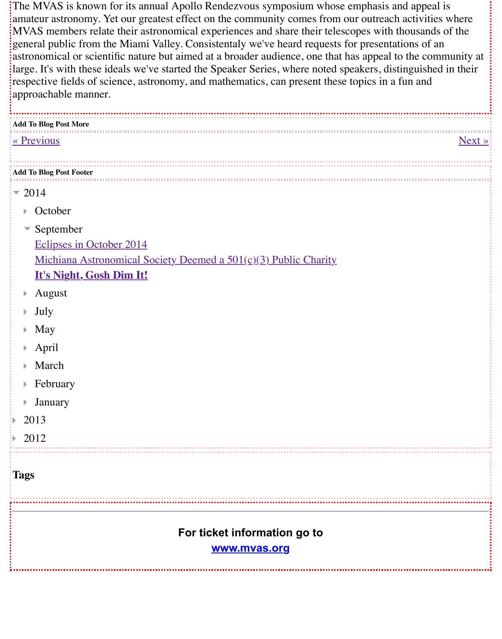| approachable manner.                                            |  |  |
|-----------------------------------------------------------------|--|--|
| Add To Blog Post More                                           |  |  |
| « Previous                                                      |  |  |
|                                                                 |  |  |
| <b>Add To Blog Post Footer</b>                                  |  |  |
| $= 2014$                                                        |  |  |
| October<br>Þ.                                                   |  |  |
| $\blacktriangleright$ September                                 |  |  |
| Eclipses in October 2014                                        |  |  |
| Michiana Astronomical Society Deemed a 501(c)(3) Public Charity |  |  |
| It's Night, Gosh Dim It!                                        |  |  |
| August<br>Þ.                                                    |  |  |
| July<br>Þ.                                                      |  |  |
| May<br>Þ                                                        |  |  |
| April<br>Þ                                                      |  |  |
| March<br>Þ                                                      |  |  |
| February<br>Þ                                                   |  |  |
| $\blacktriangleright$ January                                   |  |  |
| 2013<br>₿.                                                      |  |  |
| 2012                                                            |  |  |
| Tags                                                            |  |  |
| For ticket information go to<br>www.mvas.org                    |  |  |
|                                                                 |  |  |